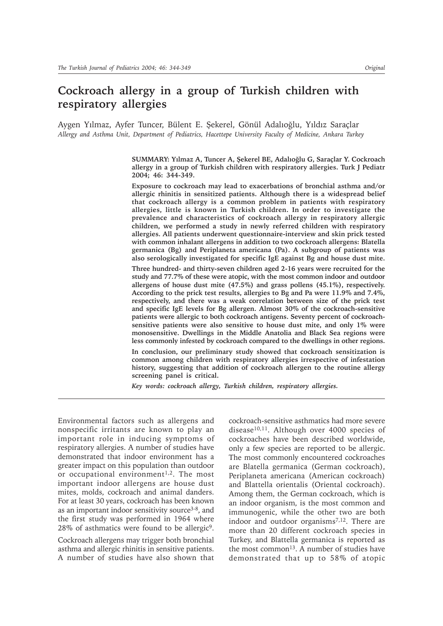# **Cockroach allergy in a group of Turkish children with respiratory allergies**

Aygen Yılmaz, Ayfer Tuncer, Bülent E. Şekerel, Gönül Adalıoğlu, Yıldız Saraçlar *Allergy and Asthma Unit, Department of Pediatrics, Hacettepe University Faculty of Medicine, Ankara Turkey*

> SUMMARY: Yılmaz A, Tuncer A, Şekerel BE, Adalıoğlu G, Saraçlar Y. Cockroach **allergy in a group of Turkish children with respiratory allergies. Turk J Pediatr 2004; 46: 344-349.**

> **Exposure to cockroach may lead to exacerbations of bronchial asthma and/or allergic rhinitis in sensitized patients. Although there is a widespread belief that cockroach allergy is a common problem in patients with respiratory allergies, little is known in Turkish children. In order to investigate the prevalence and characteristics of cockroach allergy in respiratory allergic children, we performed a study in newly referred children with respiratory allergies. All patients underwent questionnaire-interview and skin prick tested with common inhalant allergens in addition to two cockroach allergens: Blatella germanica (Bg) and Periplaneta americana (Pa). A subgroup of patients was also serologically investigated for specific IgE against Bg and house dust mite.**

> **Three hundred- and thirty-seven children aged 2-16 years were recruited for the study and 77.7% of these were atopic, with the most common indoor and outdoor allergens of house dust mite (47.5%) and grass pollens (45.1%), respectively. According to the prick test results, allergies to Bg and Pa were 11.9% and 7.4%, respectively, and there was a weak correlation between size of the prick test and specific IgE levels for Bg allergen. Almost 30% of the cockroach-sensitive patients were allergic to both cockroach antigens. Seventy percent of cockroachsensitive patients were also sensitive to house dust mite, and only 1% were monosensitive. Dwellings in the Middle Anatolia and Black Sea regions were less commonly infested by cockroach compared to the dwellings in other regions.**

> **In conclusion, our preliminary study showed that cockroach sensitization is common among children with respiratory allergies irrespective of infestation history, suggesting that addition of cockroach allergen to the routine allergy screening panel is critical.**

*Key words: cockroach allergy, Turkish children, respiratory allergies.*

Environmental factors such as allergens and nonspecific irritants are known to play an important role in inducing symptoms of respiratory allergies. A number of studies have demonstrated that indoor environment has a greater impact on this population than outdoor or occupational environment<sup>1,2</sup>. The most important indoor allergens are house dust mites, molds, cockroach and animal danders. For at least 30 years, cockroach has been known as an important indoor sensitivity source<sup>3-8</sup>, and the first study was performed in 1964 where 28% of asthmatics were found to be allergic9.

Cockroach allergens may trigger both bronchial asthma and allergic rhinitis in sensitive patients. A number of studies have also shown that cockroach-sensitive asthmatics had more severe disease<sup>10,11</sup>. Although over 4000 species of cockroaches have been described worldwide, only a few species are reported to be allergic. The most commonly encountered cockroaches are Blatella germanica (German cockroach), Periplaneta americana (American cockroach) and Blattella orientalis (Oriental cockroach). Among them, the German cockroach, which is an indoor organism, is the most common and immunogenic, while the other two are both indoor and outdoor organisms7,12. There are more than 20 different cockroach species in Turkey, and Blattella germanica is reported as the most common<sup>13</sup>. A number of studies have demonstrated that up to 58% of atopic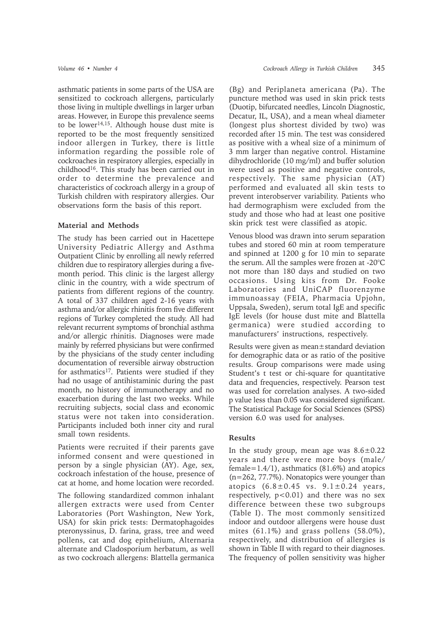asthmatic patients in some parts of the USA are sensitized to cockroach allergens, particularly those living in multiple dwellings in larger urban areas. However, in Europe this prevalence seems to be lower<sup>14,15</sup>. Although house dust mite is reported to be the most frequently sensitized indoor allergen in Turkey, there is little information regarding the possible role of cockroaches in respiratory allergies, especially in childhood<sup>16</sup>. This study has been carried out in order to determine the prevalence and characteristics of cockroach allergy in a group of Turkish children with respiratory allergies. Our observations form the basis of this report.

### **Material and Methods**

The study has been carried out in Hacettepe University Pediatric Allergy and Asthma Outpatient Clinic by enrolling all newly referred children due to respiratory allergies during a fivemonth period. This clinic is the largest allergy clinic in the country, with a wide spectrum of patients from different regions of the country. A total of 337 children aged 2-16 years with asthma and/or allergic rhinitis from five different regions of Turkey completed the study. All had relevant recurrent symptoms of bronchial asthma and/or allergic rhinitis. Diagnoses were made mainly by referred physicians but were confirmed by the physicians of the study center including documentation of reversible airway obstruction for asthmatics<sup>17</sup>. Patients were studied if they had no usage of antihistaminic during the past month, no history of immunotherapy and no exacerbation during the last two weeks. While recruiting subjects, social class and economic status were not taken into consideration. Participants included both inner city and rural small town residents.

Patients were recruited if their parents gave informed consent and were questioned in person by a single physician (AY). Age, sex, cockroach infestation of the house, presence of cat at home, and home location were recorded.

The following standardized common inhalant allergen extracts were used from Center Laboratories (Port Washington, New York, USA) for skin prick tests: Dermatophagoides pteronyssinus, D. farina, grass, tree and weed pollens, cat and dog epithelium, Alternaria alternate and Cladosporium herbatum, as well as two cockroach allergens: Blattella germanica (Bg) and Periplaneta americana (Pa). The puncture method was used in skin prick tests (Duotip, bifurcated needles, Lincoln Diagnostic, Decatur, IL, USA), and a mean wheal diameter (longest plus shortest divided by two) was recorded after 15 min. The test was considered as positive with a wheal size of a minimum of 3 mm larger than negative control. Histamine dihydrochloride (10 mg/ml) and buffer solution were used as positive and negative controls, respectively. The same physician (AT) performed and evaluated all skin tests to prevent interobserver variability. Patients who had dermographism were excluded from the study and those who had at least one positive skin prick test were classified as atopic.

Venous blood was drawn into serum separation tubes and stored 60 min at room temperature and spinned at 1200 g for 10 min to separate the serum. All the samples were frozen at -20°C not more than 180 days and studied on two occasions. Using kits from Dr. Fooke Laboratories and UniCAP fluorenzyme immunoassay (FEIA, Pharmacia Upjohn, Uppsala, Sweden), serum total IgE and specific IgE levels (for house dust mite and Blattella germanica) were studied according to manufacturers' instructions, respectively.

Results were given as mean±standard deviation for demographic data or as ratio of the positive results. Group comparisons were made using Student's t test or chi-square for quantitative data and frequencies, respectively. Pearson test was used for correlation analyses. A two-sided p value less than 0.05 was considered significant. The Statistical Package for Social Sciences (SPSS) version 6.0 was used for analyses.

### **Results**

In the study group, mean age was  $8.6 \pm 0.22$ years and there were more boys (male/ female=1.4/1), asthmatics (81.6%) and atopics (n=262, 77.7%). Nonatopics were younger than atopics  $(6.8 \pm 0.45 \text{ vs. } 9.1 \pm 0.24 \text{ years})$ respectively,  $p < 0.01$ ) and there was no sex difference between these two subgroups (Table I). The most commonly sensitized indoor and outdoor allergens were house dust mites (61.1%) and grass pollens (58.0%), respectively, and distribution of allergies is shown in Table II with regard to their diagnoses. The frequency of pollen sensitivity was higher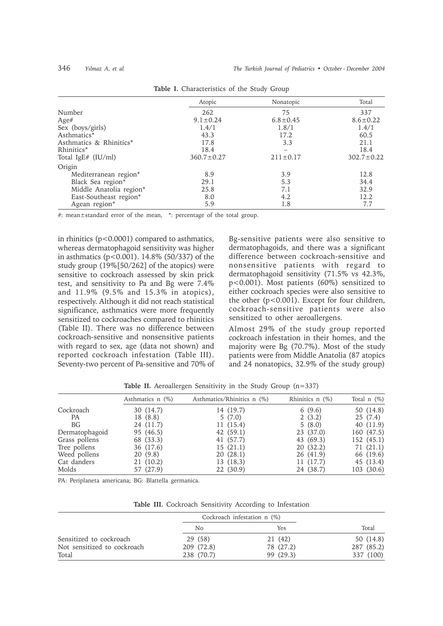|                         | Atopic           | Nonatopic      | Total            |
|-------------------------|------------------|----------------|------------------|
| Number                  | 262              | 75             | 337              |
| Age#                    | $9.1 \pm 0.24$   | $6.8 \pm 0.45$ | $8.6 \pm 0.22$   |
| Sex (boys/girls)        | 1.4/1            | 1.8/1          | 1.4/1            |
| Asthmatics*             | 43.3             | 17.2           | 60.5             |
| Asthmatics & Rhinitics* | 17.8             | 3.3            | 21.1             |
| Rhinitics*              | 18.4             |                | 18.4             |
| Total IgE# (IU/ml)      | $360.7 \pm 0.27$ | $211 \pm 0.17$ | $302.7 \pm 0.22$ |
| Origin                  |                  |                |                  |
| Mediterranean region*   | 8.9              | 3.9            | 12.8             |
| Black Sea region*       | 29.1             | 5.3            | 34.4             |
| Middle Anatolia region* | 25.8             | 7.1            | 32.9             |
| East-Southeast region*  | 8.0              | 4.2            | 12.2             |
| Agean region*           | 5.9              | 1.8            | 7.7              |

| Table I. Characteristics of the Study Group |
|---------------------------------------------|
|---------------------------------------------|

#: mean±standard error of the mean, \*: percentage of the total group.

in rhinitics (p<0.0001) compared to asthmatics, whereas dermatophagoid sensitivity was higher in asthmatics ( $p < 0.001$ ). 14.8% (50/337) of the study group (19%[50/262] of the atopics) were sensitive to cockroach assessed by skin prick test, and sensitivity to Pa and Bg were 7.4% and 11.9% (9.5% and 15.3% in atopics), respectively. Although it did not reach statistical significance, asthmatics were more frequently sensitized to cockroaches compared to rhinitics (Table II). There was no difference between cockroach-sensitive and nonsensitive patients with regard to sex, age (data not shown) and reported cockroach infestation (Table III). Seventy-two percent of Pa-sensitive and 70% of Bg-sensitive patients were also sensitive to dermatophagoids, and there was a significant difference between cockroach-sensitive and nonsensitive patients with regard to dermatophagoid sensitivity (71.5% vs 42.3%, p<0.001). Most patients (60%) sensitized to either cockroach species were also sensitive to the other (p<0.001). Except for four children, cockroach-sensitive patients were also sensitized to other aeroallergens.

Almost 29% of the study group reported cockroach infestation in their homes, and the majority were Bg (70.7%). Most of the study patients were from Middle Anatolia (87 atopics and 24 nonatopics, 32.9% of the study group)

|                | Asthmatics $n$ (%) | Asthmatics/Rhinitics n (%) | Rhinitics $n$ (%) | Total $n$ $(\%)$ |
|----------------|--------------------|----------------------------|-------------------|------------------|
| Cockroach      | 30 (14.7)          | 14 (19.7)                  | 6(9.6)            | 50 (14.8)        |
| РA             | 18 (8.8)           | 5(7.0)                     | 2(3.2)            | 25(7.4)          |
| BG             | 24 (11.7)          | 11(15.4)                   | 5(8.0)            | 40 (11.9)        |
| Dermatophagoid | 95 (46.5)          | 42(59.1)                   | 23 (37.0)         | 160 (47.5)       |
| Grass pollens  | 68 (33.3)          | 41 (57.7)                  | 43 (69.3)         | 152(45.1)        |
| Tree pollens   | 36 (17.6)          | 15(21.1)                   | 20(32.2)          | 71(21.1)         |
| Weed pollens   | 20(9.8)            | 20(28.1)                   | 26 (41.9)         | 66 (19.6)        |
| Cat danders    | 21(10.2)           | 13 (18.3)                  | 11(17.7)          | 45 (13.4)        |
| Molds          | 57 (27.9)          | 22(30.9)                   | 24 (38.7)         | 103 (30.6)       |
|                |                    |                            |                   |                  |

**Table II.** Aeroallergen Sensitivity in the Study Group (n=337)

PA: Periplaneta americana; BG: Blattella germanica.

**Table III.** Cockroach Sensitivity According to Infestation

|                             | Cockroach infestation $n$ (%) |           |            |
|-----------------------------|-------------------------------|-----------|------------|
|                             | No                            | Yes       | Total      |
| Sensitized to cockroach     | 29 (58)                       | 21 (42)   | 50 (14.8)  |
| Not sensitized to cockroach | 209 (72.8)                    | 78 (27.2) | 287 (85.2) |
| Total                       | 238 (70.7)                    | 99 (29.3) | 337 (100)  |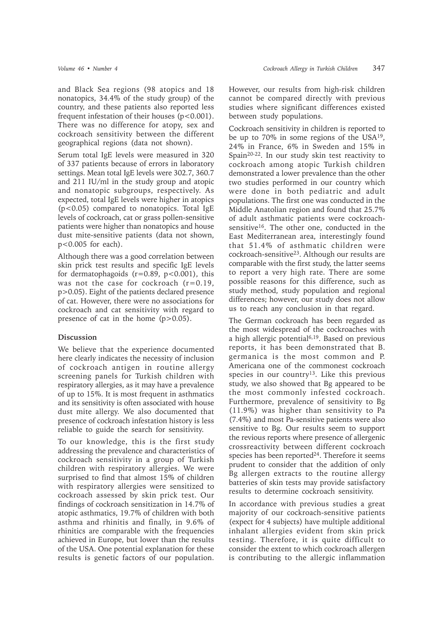and Black Sea regions (98 atopics and 18 nonatopics, 34.4% of the study group) of the country, and these patients also reported less frequent infestation of their houses  $(p<0.001)$ . There was no difference for atopy, sex and cockroach sensitivity between the different geographical regions (data not shown).

Serum total IgE levels were measured in 320 of 337 patients because of errors in laboratory settings. Mean total IgE levels were 302.7, 360.7 and 211 IU/ml in the study group and atopic and nonatopic subgroups, respectively. As expected, total IgE levels were higher in atopics (p<0.05) compared to nonatopics. Total IgE levels of cockroach, cat or grass pollen-sensitive patients were higher than nonatopics and house dust mite-sensitive patients (data not shown, p<0.005 for each).

Although there was a good correlation between skin prick test results and specific IgE levels for dermatophagoids  $(r=0.89, p<0.001)$ , this was not the case for cockroach  $(r=0.19$ , p>0.05). Eight of the patients declared presence of cat. However, there were no associations for cockroach and cat sensitivity with regard to presence of cat in the home  $(p>0.05)$ .

## **Discussion**

We believe that the experience documented here clearly indicates the necessity of inclusion of cockroach antigen in routine allergy screening panels for Turkish children with respiratory allergies, as it may have a prevalence of up to 15%. It is most frequent in asthmatics and its sensitivity is often associated with house dust mite allergy. We also documented that presence of cockroach infestation history is less reliable to guide the search for sensitivity.

To our knowledge, this is the first study addressing the prevalence and characteristics of cockroach sensitivity in a group of Turkish children with respiratory allergies. We were surprised to find that almost 15% of children with respiratory allergies were sensitized to cockroach assessed by skin prick test. Our findings of cockroach sensitization in 14.7% of atopic asthmatics, 19.7% of children with both asthma and rhinitis and finally, in 9.6% of rhinitics are comparable with the frequencies achieved in Europe, but lower than the results of the USA. One potential explanation for these results is genetic factors of our population.

However, our results from high-risk children cannot be compared directly with previous studies where significant differences existed between study populations.

Cockroach sensitivity in children is reported to be up to 70% in some regions of the USA19, 24% in France, 6% in Sweden and 15% in Spain20-22. In our study skin test reactivity to cockroach among atopic Turkish children demonstrated a lower prevalence than the other two studies performed in our country which were done in both pediatric and adult populations. The first one was conducted in the Middle Anatolian region and found that 25.7% of adult asthmatic patients were cockroachsensitive16. The other one, conducted in the East Mediterranean area, interestingly found that 51.4% of asthmatic children were cockroach-sensitive23. Although our results are comparable with the first study, the latter seems to report a very high rate. There are some possible reasons for this difference, such as study method, study population and regional differences; however, our study does not allow us to reach any conclusion in that regard.

The German cockroach has been regarded as the most widespread of the cockroaches with a high allergic potential6,19. Based on previous reports, it has been demonstrated that B. germanica is the most common and P. Americana one of the commonest cockroach species in our country<sup>13</sup>. Like this previous study, we also showed that Bg appeared to be the most commonly infested cockroach. Furthermore, prevalence of sensitivity to Bg (11.9%) was higher than sensitivity to Pa (7.4%) and most Pa-sensitive patients were also sensitive to Bg. Our results seem to support the revious reports where presence of allergenic crossreactivity between different cockroach species has been reported<sup>24</sup>. Therefore it seems prudent to consider that the addition of only Bg allergen extracts to the routine allergy batteries of skin tests may provide satisfactory results to determine cockroach sensitivity.

In accordance with previous studies a great majority of our cockroach-sensitive patients (expect for 4 subjects) have multiple additional inhalant allergies evident from skin prick testing. Therefore, it is quite difficult to consider the extent to which cockroach allergen is contributing to the allergic inflammation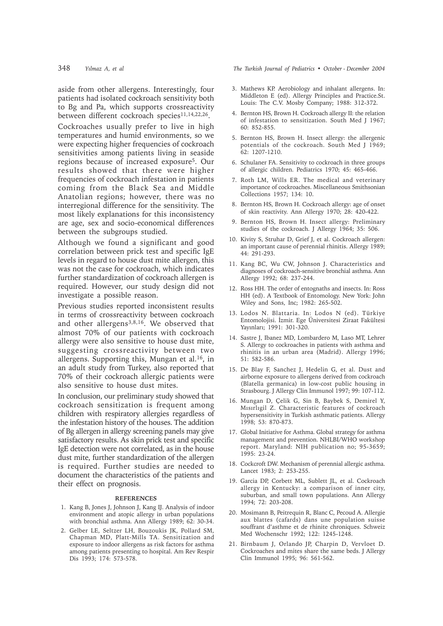aside from other allergens. Interestingly, four patients had isolated cockroach sensitivity both to Bg and Pa, which supports crossreactivity between different cockroach species<sup>11,14,22,26</sup>.

Cockroaches usually prefer to live in high temperatures and humid environments, so we were expecting higher frequencies of cockroach sensitivities among patients living in seaside regions because of increased exposure5. Our results showed that there were higher frequencies of cockroach infestation in patients coming from the Black Sea and Middle Anatolian regions; however, there was no interregional difference for the sensitivity. The most likely explanations for this inconsistency are age, sex and socio-economical differences between the subgroups studied.

Although we found a significant and good correlation between prick test and specific IgE levels in regard to house dust mite allergen, this was not the case for cockroach, which indicates further standardization of cockroach allergen is required. However, our study design did not investigate a possible reason.

Previous studies reported inconsistent results in terms of crossreactivity between cockroach and other allergens<sup>3,8,16</sup>. We observed that almost 70% of our patients with cockroach allergy were also sensitive to house dust mite, suggesting crossreactivity between two allergens. Supporting this, Mungan et al.<sup>16</sup>, in an adult study from Turkey, also reported that 70% of their cockroach allergic patients were also sensitive to house dust mites.

In conclusion, our preliminary study showed that cockroach sensitization is frequent among children with respiratory allergies regardless of the infestation history of the houses. The addition of Bg allergen in allergy screening panels may give satisfactory results. As skin prick test and specific IgE detection were not correlated, as in the house dust mite, further standardization of the allergen is required. Further studies are needed to document the characteristics of the patients and their effect on prognosis.

#### **REFERENCES**

- 1. Kang B, Jones J, Johnson J, Kang IJ. Analysis of indoor environment and atopic allergy in urban populations with bronchial asthma. Ann Allergy 1989; 62: 30-34.
- 2. Gelber LE, Seltzer LH, Bouzoukis JK, Pollard SM, Chapman MD, Platt-Mills TA. Sensitization and exposure to indoor allergens as risk factors for asthma among patients presenting to hospital. Am Rev Respir Dis 1993; 174: 573-578.

348 *Yılmaz A, et al* The Turkish Journal of Pediatrics • October - December 2004

- 3. Mathews KP. Aerobiology and inhalant allergens. In: Middleton E (ed). Allergy Principles and Practice.St. Louis: The C.V. Mosby Company; 1988: 312-372.
- 4. Bernton HS, Brown H. Cockroach allergy II: the relation of infestation to sensitization. South Med J 1967; 60: 852-855.
- 5. Bernton HS, Brown H. Insect allergy: the allergenic potentials of the cockroach. South Med J 1969; 62: 1207-1210.
- 6. Schulaner FA. Sensitivity to cockroach in three groups of allergic children. Pediatrics 1970; 45: 465-466.
- 7. Roth LM, Wills ER. The medical and veterinary importance of cockroaches. Miscellaneous Smithsonian Collections 1957; 134: 10.
- 8. Bernton HS, Brown H. Cockroach allergy: age of onset of skin reactivity. Ann Allergy 1970; 28: 420-422.
- 9. Bernton HS, Brown H. Insect allergy: Preliminary studies of the cockroach. J Allergy 1964; 35: 506.
- 10. Kivity S, Struhar D, Grief J, et al. Cockroach allergen: an important cause of perennial rhinitis. Allergy 1989; 44: 291-293.
- 11. Kang BC, Wu CW, Johnson J. Characteristics and diagnoses of cockroach-sensitive bronchial asthma. Ann Allergy 1992; 68: 237-244.
- 12. Ross HH. The order of entognaths and insects. In: Ross HH (ed). A Textbook of Entomology. New York: John Wiley and Sons, Inc; 1982: 265-502.
- 13. Lodos N. Blattaria. In: Lodos N (ed). Türkiye Entomolojisi. İzmir. Ege Üniversitesi Ziraat Fakültesi Yayınları; 1991: 301-320.
- 14. Sastre J, Ibanez MD, Lombardero M, Laso MT, Lehrer S. Allergy to cockroaches in patients with asthma and rhinitis in an urban area (Madrid). Allergy 1996; 51: 582-586.
- 15. De Blay F, Sanchez J, Hedelin G, et al. Dust and airborne exposure to allergens derived from cockroach (Blatella germanica) in low-cost public housing in Strasbourg. J Allergy Clin Immunol 1997; 99: 107-112.
- 16. Mungan D, Çelik G, Sin B, Baybek S, Demirel Y, Mısırlıgil Z. Characteristic features of cockroach hypersensitivity in Turkish asthmatic patients. Allergy 1998; 53: 870-873.
- 17. Global Initiative for Asthma. Global strategy for asthma management and prevention. NHLBI/WHO workshop report. Maryland: NIH publication no; 95-3659; 1995: 23-24.
- 18. Cockcroft DW. Mechanism of perennial allergic asthma. Lancet 1983; 2: 253-255.
- 19. Garcia DP, Corbett ML, Sublett JL, et al. Cockroach allergy in Kentucky: a comparison of inner city, suburban, and small town populations. Ann Allergy 1994; 72: 203-208.
- 20. Mosimann B, Peitrequin R, Blanc C, Pecoud A. Allergie aux blattes (cafards) dans une population suisse souffrant d'asthme et de rhinite chroniques. Schweiz Med Wochenschr 1992; 122: 1245-1248.
- 21. Birnbaum J, Orlando JP, Charpin D, Vervloet D. Cockroaches and mites share the same beds. J Allergy Clin Immunol 1995; 96: 561-562.